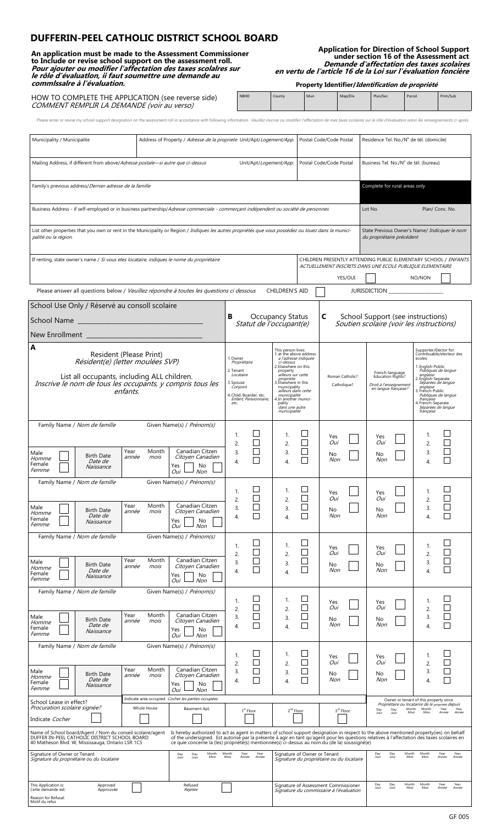# **DUFFERIN-PEEL CATHOLIC DISTRICT SCHOOL BOARD**

**An application must be made to the Assessment Commissioner to Include or revise school support on the assessment roll. Pour ajouter ou modifier l'affectation des taxes scolalres sur le rôle d'évaluatlon, ii faut soumettre une demande au commlssalre à l'évaluation.**

**Application for Direction of School Support under section 16 of the Assessment act Demande d'affectation des taxes scolaires en vertu de l'article 16 de la Loi sur l'évaluation foncière**

**Property Identifier/Identification de propriété** 

| HOW TO COMPLETE THE APPLICATION (see reverse side)<br>COMMENT REMPLIR LA DEMANDE (voir au verso)                                                                                                                               | <b>NBHD</b> | County | Mun | Map/Div | Plan/Sec | Parcel | Prim/Sub |
|--------------------------------------------------------------------------------------------------------------------------------------------------------------------------------------------------------------------------------|-------------|--------|-----|---------|----------|--------|----------|
| Please enter or revise my school support designation on the assessment roll in accordance with following information. Veuillez inscrire ou modifier l'affectation de mes taxes scolaires sur le rôle d'évaluation selon les re |             |        |     |         |          |        |          |

| Municipality / Municipalite                                                                                                                                                                                                                                                                                                                                                                                                                                                                                                                                  |                                                                                                                                      | Address of Property / Adresse de la propriete Unit/Apt/Logement/App. |                                                                                     |                                                  |                                                                                                                                                                                                                                                                                                               |                                                                                                                              | Postal Code/Code Postal        | Residence Tel. No./N° de tél. (domicile)                                   |                                                                                                                                                                                              |                 |                                                                                                                                                                                                                                                                                                  |                                |  |
|--------------------------------------------------------------------------------------------------------------------------------------------------------------------------------------------------------------------------------------------------------------------------------------------------------------------------------------------------------------------------------------------------------------------------------------------------------------------------------------------------------------------------------------------------------------|--------------------------------------------------------------------------------------------------------------------------------------|----------------------------------------------------------------------|-------------------------------------------------------------------------------------|--------------------------------------------------|---------------------------------------------------------------------------------------------------------------------------------------------------------------------------------------------------------------------------------------------------------------------------------------------------------------|------------------------------------------------------------------------------------------------------------------------------|--------------------------------|----------------------------------------------------------------------------|----------------------------------------------------------------------------------------------------------------------------------------------------------------------------------------------|-----------------|--------------------------------------------------------------------------------------------------------------------------------------------------------------------------------------------------------------------------------------------------------------------------------------------------|--------------------------------|--|
|                                                                                                                                                                                                                                                                                                                                                                                                                                                                                                                                                              | Mailing Address, if different from above/Adresse postale-si autre que ci-dessus<br>Postal Code/Code Postal<br>Unit/Apt/Logement/App. |                                                                      |                                                                                     |                                                  |                                                                                                                                                                                                                                                                                                               |                                                                                                                              |                                |                                                                            | Business Tel. No./N° de tél. (bureau)                                                                                                                                                        |                 |                                                                                                                                                                                                                                                                                                  |                                |  |
| Family's previous address/Dernier adresse de la famille                                                                                                                                                                                                                                                                                                                                                                                                                                                                                                      |                                                                                                                                      |                                                                      |                                                                                     |                                                  |                                                                                                                                                                                                                                                                                                               |                                                                                                                              | Complete for rural areas only  |                                                                            |                                                                                                                                                                                              |                 |                                                                                                                                                                                                                                                                                                  |                                |  |
| Business Address - if self-employed or in business partnership/Adresse commerciale - commerçant indépendent ou société de personnes                                                                                                                                                                                                                                                                                                                                                                                                                          |                                                                                                                                      |                                                                      |                                                                                     |                                                  |                                                                                                                                                                                                                                                                                                               |                                                                                                                              | Lot No.                        |                                                                            |                                                                                                                                                                                              | Plan/ Conc. No. |                                                                                                                                                                                                                                                                                                  |                                |  |
| List other properties that you own or rent in the Municipality or Region / Indiques les autres propriétés que vous possédez ou louez dans la munici-<br>palité ou la région.                                                                                                                                                                                                                                                                                                                                                                                 |                                                                                                                                      |                                                                      |                                                                                     |                                                  |                                                                                                                                                                                                                                                                                                               |                                                                                                                              |                                | State Previous Owner's Name/ Indicquer le nom<br>du propriétaire précédent |                                                                                                                                                                                              |                 |                                                                                                                                                                                                                                                                                                  |                                |  |
| If renting, state owner's name / Si vous etes locataire, indiques le nome du propriétaire                                                                                                                                                                                                                                                                                                                                                                                                                                                                    |                                                                                                                                      |                                                                      |                                                                                     |                                                  |                                                                                                                                                                                                                                                                                                               | CHILDREN PRESENTLY ATTENDING PUBLIC ELEMENTARY SCHOOL / ENFANTS<br>ACTUELLEMENT INSCRITS DANS UNE ECOLE PUBLIQUE ELEMENTAIRE |                                |                                                                            |                                                                                                                                                                                              |                 |                                                                                                                                                                                                                                                                                                  |                                |  |
| Please answer all questions below / Veuillez répondre à toutes les questions ci dessous<br><b>CHILDREN'S AID</b>                                                                                                                                                                                                                                                                                                                                                                                                                                             |                                                                                                                                      |                                                                      |                                                                                     |                                                  |                                                                                                                                                                                                                                                                                                               | YES/OUI                                                                                                                      |                                | NO/NON                                                                     |                                                                                                                                                                                              |                 |                                                                                                                                                                                                                                                                                                  |                                |  |
| School Use Only / Réservé au consoll scolaire                                                                                                                                                                                                                                                                                                                                                                                                                                                                                                                |                                                                                                                                      |                                                                      |                                                                                     |                                                  |                                                                                                                                                                                                                                                                                                               |                                                                                                                              |                                |                                                                            |                                                                                                                                                                                              |                 |                                                                                                                                                                                                                                                                                                  |                                |  |
| School Name                                                                                                                                                                                                                                                                                                                                                                                                                                                                                                                                                  |                                                                                                                                      |                                                                      | в<br>Occupancy Status<br>Statut de l'occupant(e)                                    |                                                  |                                                                                                                                                                                                                                                                                                               | C                                                                                                                            |                                |                                                                            | School Support (see instructions)<br>Soutien scolaire (voir les instructions)                                                                                                                |                 |                                                                                                                                                                                                                                                                                                  |                                |  |
|                                                                                                                                                                                                                                                                                                                                                                                                                                                                                                                                                              |                                                                                                                                      |                                                                      |                                                                                     |                                                  |                                                                                                                                                                                                                                                                                                               |                                                                                                                              |                                |                                                                            |                                                                                                                                                                                              |                 |                                                                                                                                                                                                                                                                                                  |                                |  |
| A<br>Résident(e) (letter moulées SVP)<br>List all occupants, including ALL children.<br>Inscrive le nom de tous les occupants, y compris tous les                                                                                                                                                                                                                                                                                                                                                                                                            | Resident (Please Print)<br>enfants.                                                                                                  |                                                                      | 1. Owner<br>Propriétaire<br>2. Tenant<br>Locataire<br>3. Spouse<br>Conjoint<br>etc. | 4. Child, Boarder, etc.<br>Enfant, Pensionnaire, | This person lives:<br>1. at the above address<br>a l'adresse indiquee<br>ci-dessus<br>2. Elsewhere on this<br>property<br>ailleurs sur cette<br>propriete<br>3. Elsewhere in this<br>municipality<br>ailleurs dans cette<br>municipalité<br>4. In another munici-<br>pality<br>dans une autre<br>municipalité |                                                                                                                              | Roman Catholic?<br>Catholique? |                                                                            | French-language<br><b>Education Rights?</b><br>Droit à l'enseignement<br>en langue française?                                                                                                |                 | Supporter/Elector for:<br>Contribuable/electeur des<br>ecoles:<br>1. English-Public<br>Publiques de langue<br>anglaise<br>2. English-Separate<br>Séparées de langue<br>anglaise<br>3. French-Public<br>Publiques de langue<br>française<br>4. French-Separate<br>Séparées de langue<br>française |                                |  |
| Family Name / Nom de famille                                                                                                                                                                                                                                                                                                                                                                                                                                                                                                                                 |                                                                                                                                      | Given Name(s) / Prénom(s)                                            | 1.                                                                                  |                                                  | 1.                                                                                                                                                                                                                                                                                                            | $\Box$                                                                                                                       |                                |                                                                            |                                                                                                                                                                                              |                 | 1.                                                                                                                                                                                                                                                                                               | $\Box$                         |  |
| Male<br><b>Birth Date</b><br>Homme<br>Date de<br>Female<br>Naissance<br><i>Femme</i>                                                                                                                                                                                                                                                                                                                                                                                                                                                                         | Year<br>Month<br>année<br>mois                                                                                                       | Canadian Citzen<br>Citoyen Canadien<br>Yes<br>No<br>Oui<br>Non       | 2.<br>$\overline{3}$ .<br>4.                                                        |                                                  | 2.<br>3.<br>$\overline{4}$ .                                                                                                                                                                                                                                                                                  |                                                                                                                              | Yes<br>Oui<br>No<br>Non        |                                                                            | Yes<br>Oui<br>No.<br>Non                                                                                                                                                                     |                 | 2.<br>3.<br>$\overline{4}$ .                                                                                                                                                                                                                                                                     |                                |  |
| Family Name / Nom de famille                                                                                                                                                                                                                                                                                                                                                                                                                                                                                                                                 |                                                                                                                                      | Given Name(s) / Prénom(s)                                            | 2.                                                                                  |                                                  | 2.                                                                                                                                                                                                                                                                                                            |                                                                                                                              | Yes<br>Oui                     |                                                                            | Yes<br>Oui                                                                                                                                                                                   |                 | 2.                                                                                                                                                                                                                                                                                               | Н                              |  |
| Male<br><b>Birth Date</b><br>Homme<br>Date de<br>Female<br>Naissance<br>Femme                                                                                                                                                                                                                                                                                                                                                                                                                                                                                | Month<br>Year<br>année<br>mois                                                                                                       | Canadian Citzen<br>Citoyen Canadien<br>Yes<br>No<br>Oui<br>Non       | 3.<br>4.                                                                            |                                                  | 3.<br>4.                                                                                                                                                                                                                                                                                                      |                                                                                                                              | No<br>Non                      |                                                                            | No<br>Non                                                                                                                                                                                    |                 | 3.<br>4.                                                                                                                                                                                                                                                                                         |                                |  |
| Family Name / Nom de famille                                                                                                                                                                                                                                                                                                                                                                                                                                                                                                                                 | Given Name(s) / Prénom(s)                                                                                                            |                                                                      | 1.                                                                                  |                                                  | 1.                                                                                                                                                                                                                                                                                                            |                                                                                                                              | Yes                            |                                                                            | Yes                                                                                                                                                                                          |                 | 1.                                                                                                                                                                                                                                                                                               |                                |  |
| Male<br><b>Birth Date</b><br>Homme<br>Date de<br>Female<br>Naissance<br>Femme                                                                                                                                                                                                                                                                                                                                                                                                                                                                                | Year<br>Month<br>année<br>mois                                                                                                       | Canadian Citzen<br>Citoyen Canadien<br>Yes<br>No<br>Oui<br>Non       | 2.<br>3.<br>4.                                                                      |                                                  | 2.<br>3.<br>$\overline{4}$ .                                                                                                                                                                                                                                                                                  |                                                                                                                              | Oui<br>No<br>Non               |                                                                            | Oui<br>No.<br>Non                                                                                                                                                                            |                 | 2.<br>3.<br>4.                                                                                                                                                                                                                                                                                   |                                |  |
| Family Name / Nom de famille                                                                                                                                                                                                                                                                                                                                                                                                                                                                                                                                 |                                                                                                                                      | Given Name(s) / Prénom(s)                                            | 1.                                                                                  |                                                  | 1.                                                                                                                                                                                                                                                                                                            |                                                                                                                              | Yes                            |                                                                            | Yes                                                                                                                                                                                          |                 | 1.                                                                                                                                                                                                                                                                                               |                                |  |
| Male<br><b>Birth Date</b><br>Homme<br><i>Date de</i><br>Female<br>Naissance<br>Femme                                                                                                                                                                                                                                                                                                                                                                                                                                                                         | Year<br>Month<br>année<br>mois                                                                                                       | Canadian Citzen<br>Citoyen Canadien<br>Yes<br>No<br>Oui<br>Non       | 2.<br>3.<br>4.                                                                      |                                                  | 2.<br>3.<br>4.                                                                                                                                                                                                                                                                                                |                                                                                                                              | Oui<br>No<br>Non               |                                                                            | Oui<br>No<br>Non                                                                                                                                                                             |                 | 2.<br>3.<br>4.                                                                                                                                                                                                                                                                                   |                                |  |
| Family Name / Nom de famille                                                                                                                                                                                                                                                                                                                                                                                                                                                                                                                                 |                                                                                                                                      | Given Name(s) / Prénom(s)                                            | 1.<br>2.                                                                            |                                                  | 1.<br>2.                                                                                                                                                                                                                                                                                                      |                                                                                                                              | Yes<br>Oui                     |                                                                            | Yes<br>Oui                                                                                                                                                                                   |                 | 1.<br>2.                                                                                                                                                                                                                                                                                         |                                |  |
| Male<br><b>Birth Date</b><br>Homme<br><i>Date de</i><br>Female<br>Naissance<br><i>Femme</i>                                                                                                                                                                                                                                                                                                                                                                                                                                                                  | Year<br>Month<br>année<br>mois                                                                                                       | Canadian Citzen<br>Citoyen Canadien<br>Yes<br>No<br>Oui<br>Non       | 3.<br>4.                                                                            |                                                  | 3.<br>4.                                                                                                                                                                                                                                                                                                      | П                                                                                                                            | No<br>Non                      |                                                                            | No<br>Non                                                                                                                                                                                    |                 | 3.<br>4.                                                                                                                                                                                                                                                                                         |                                |  |
| School Lease in effect?<br>Procuration scolaire signée?<br>Indicate Cocher                                                                                                                                                                                                                                                                                                                                                                                                                                                                                   | Whole House                                                                                                                          | Indicate area occupied Cocher les parties occupées<br>Basement Apt.  |                                                                                     | 2 <sup>nd</sup> Floor<br>1 <sup>st</sup> Floor   |                                                                                                                                                                                                                                                                                                               | 3rd Floor                                                                                                                    |                                |                                                                            | Owner or tenant of this property since<br>Propriétaire ou locatarire de le propriété depuis<br>Month<br>Month<br>Year<br>Year<br>Day<br>Day<br>Joúr<br>Mois<br>Mois<br>Année<br>Année<br>Jou |                 |                                                                                                                                                                                                                                                                                                  |                                |  |
| Name of School board/Agent / Nom du conseil scolaire/agent<br>Is hereby authorized to act as agent in matters of school support designation in respect to the above mentioned property(ies) on behalf<br>DUFFER IN-PEEL CATHOLIC DISTRICT SCHOOL BOARD<br>of the undersigned. Est autorisé par la présente à agir en tant qu'agent pour les questions relatives à l'affectation des taxes scolaires en<br>40 Matheson Blvd. W, Mississauga, Ontario LSR 1C5<br>ce quie concerne la (les) propriété(s) mentionnée(s) ci-dessus au nom du (de la) soussigné(e) |                                                                                                                                      |                                                                      |                                                                                     |                                                  |                                                                                                                                                                                                                                                                                                               |                                                                                                                              |                                |                                                                            |                                                                                                                                                                                              |                 |                                                                                                                                                                                                                                                                                                  |                                |  |
| Signature of Owner or Tenant<br>Signature du propriétaire ou du locataire                                                                                                                                                                                                                                                                                                                                                                                                                                                                                    |                                                                                                                                      | Month<br>Day<br>Day<br>Mois<br>Jour<br>Jour                          | Month<br>Year<br>Year<br>Mois<br>Année<br>Année                                     |                                                  |                                                                                                                                                                                                                                                                                                               | Signature of Owner or Tenant<br>Signature du propriétaire ou du locataire                                                    |                                |                                                                            | Month<br>Month<br>Day<br>Day<br>Year<br>Year<br>Jour<br>Jour<br>Mois<br>Année<br>Année<br>Mois                                                                                               |                 |                                                                                                                                                                                                                                                                                                  |                                |  |
| This Application is:<br>Approved<br>Cette demande est:<br>Approuvée<br>Reason for Refusal:<br>Motif du refus                                                                                                                                                                                                                                                                                                                                                                                                                                                 |                                                                                                                                      | Refused<br>Rejetée                                                   |                                                                                     |                                                  |                                                                                                                                                                                                                                                                                                               | Signature of Assessment Commissioner<br>Signature du commissaire à l'évaluation                                              |                                |                                                                            | Day<br>Jour<br>Day<br>Jour                                                                                                                                                                   | Month<br>Mois   | Month<br>Mois                                                                                                                                                                                                                                                                                    | Year<br>Year<br>Année<br>Année |  |